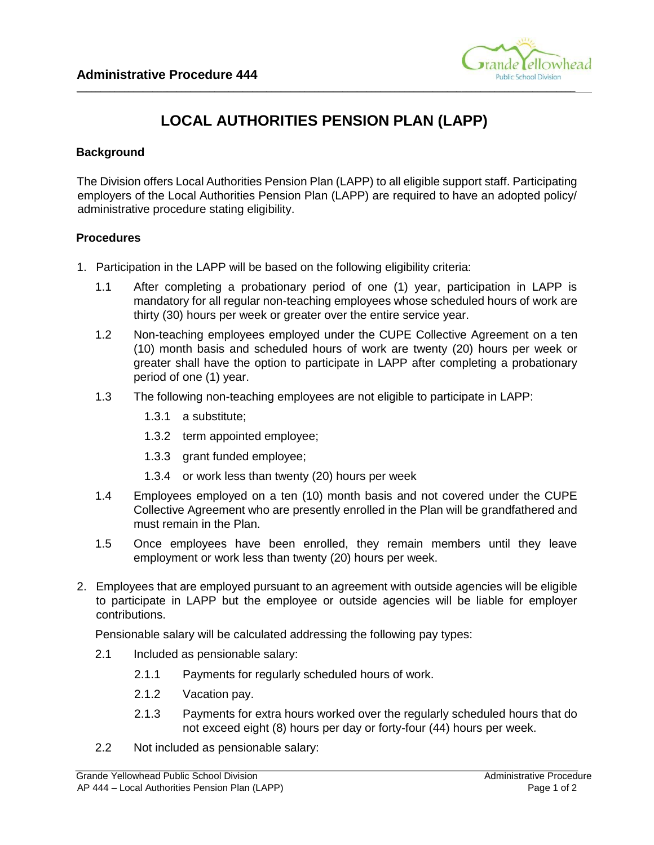

## **LOCAL AUTHORITIES PENSION PLAN (LAPP)**

**\_\_\_\_\_\_\_\_\_\_\_\_\_\_\_\_\_\_\_\_\_\_\_\_\_\_\_\_\_\_\_\_\_\_\_\_\_\_\_\_\_\_\_\_\_\_\_\_\_\_\_\_\_\_\_\_\_\_\_\_\_\_\_\_\_\_\_\_\_\_\_\_\_\_\_\_\_\_\_\_\_\_\_\_\_\_\_\_\_\_\_\_\_\_\_\_\_\_\_\_\_\_\_\_\_** 

## **Background**

The Division offers Local Authorities Pension Plan (LAPP) to all eligible support staff. Participating employers of the Local Authorities Pension Plan (LAPP) are required to have an adopted policy/ administrative procedure stating eligibility.

## **Procedures**

- 1. Participation in the LAPP will be based on the following eligibility criteria:
	- 1.1 After completing a probationary period of one (1) year, participation in LAPP is mandatory for all regular non-teaching employees whose scheduled hours of work are thirty (30) hours per week or greater over the entire service year.
	- 1.2 Non-teaching employees employed under the CUPE Collective Agreement on a ten (10) month basis and scheduled hours of work are twenty (20) hours per week or greater shall have the option to participate in LAPP after completing a probationary period of one (1) year.
	- 1.3 The following non-teaching employees are not eligible to participate in LAPP:
		- 1.3.1 a substitute;
		- 1.3.2 term appointed employee;
		- 1.3.3 grant funded employee;
		- 1.3.4 or work less than twenty (20) hours per week
	- 1.4 Employees employed on a ten (10) month basis and not covered under the CUPE Collective Agreement who are presently enrolled in the Plan will be grandfathered and must remain in the Plan.
	- 1.5 Once employees have been enrolled, they remain members until they leave employment or work less than twenty (20) hours per week.
- 2. Employees that are employed pursuant to an agreement with outside agencies will be eligible to participate in LAPP but the employee or outside agencies will be liable for employer contributions.

Pensionable salary will be calculated addressing the following pay types:

- 2.1 Included as pensionable salary:
	- 2.1.1 Payments for regularly scheduled hours of work.
	- 2.1.2 Vacation pay.
	- 2.1.3 Payments for extra hours worked over the regularly scheduled hours that do not exceed eight (8) hours per day or forty-four (44) hours per week.
- 2.2 Not included as pensionable salary: